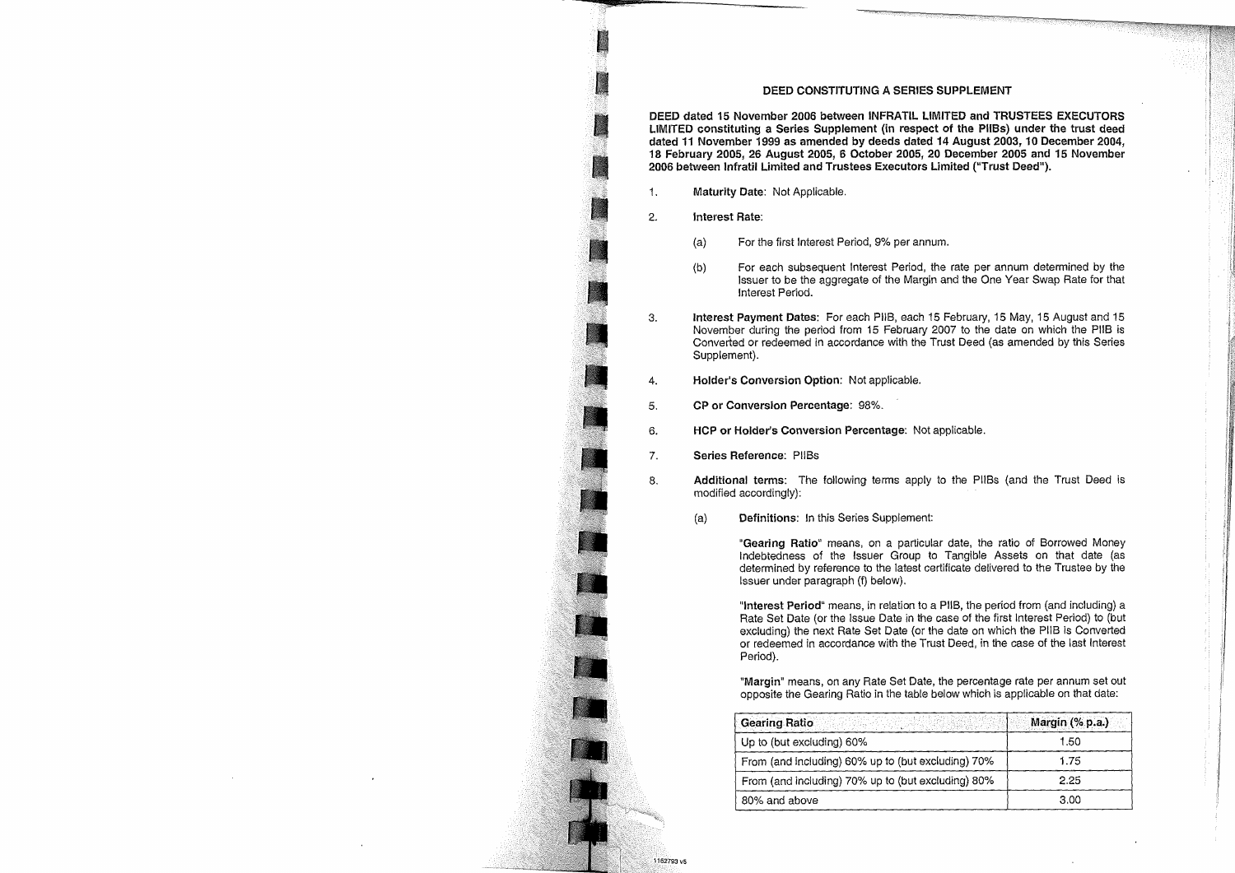## **DEED CONSTITUTING A SERIES SUPPLEMENT**

**DEED dated 15 November 2006 between INFRATIL LIMITED and TRUSTEES EXECUTORS LIMITED constituting a Series Supplement (in respect of the PlIBs) under the trust deed dated 11 November 1999 as amended by deeds dated 14 August 2003, 10 December 2004, 18 February 2005, 26 August 2005, 6 October 2005, 20 December 2005 and 15 November 2006 between Infratil Limited and Trustees Executors Limited ("Trust Deed").** 

- 1. **Maturity Date:** Not Applicable.
- 2. **Interest Rate:** 
	- (a) For the first Interest Period, 9% per annum.
	- (b) For each subsequent Interest Period, the rate per annum determined by the Issuer to be the aggregate of the Margin and the One Year Swap Rate for that Interest Period.
- 3. **Interest Payment Dates:** For each PUB, each 15 February, 15 May, 15 August and 15 November during the period from 15 February 2007 to the date on which the PUB is Converted or redeemed in accordance with the Trust Deed (as amended by this Series Supplement).
- 4. **Holder's Conversion Option:** Not applicable.
- 5. **CP or Conversion Percentage:** 98%.
- 6. **HCP or Holder's Conversion Percentage:** Not applicable.
- 7. **Series Reference:** PlIBs
- 8, **Additional terms:** The following terms apply to the PlIBs (and the Trust Deed is modified accordingly):
	- (a) **Definitions:** In this Series Supplement:

**"Gearing Ratio"** means, on a particular date, the ratio of Borrowed Money Indebtedness of the Issuer Group to Tangible Assets on that date (as determined by reference to the latest certificate delivered to the Trustee by the Issuer under paragraph (f) below).

**"Interest Period"** means, in relation to a PUB, the period from (and including) a Rate Set Date (or the Issue Date in the case of the first Interest Period) to (but excluding) the next Rate Set Date (or the date on which the PUB is Converted or redeemed in accordance with the Trust Deed, in the case of the last Interest Period).

**"Margin"** means, on any Rate Set Date, the percentage rate per annum set out opposite the Gearing Ratio in the table below which is applicable on that date:

| Gearing Ratio                                      | Margin (% p.a.) |
|----------------------------------------------------|-----------------|
| Up to (but excluding) 60%                          | 1.50            |
| From (and including) 60% up to (but excluding) 70% | 1.75            |
| From (and including) 70% up to (but excluding) 80% | 2.25            |
| 80% and above                                      | 3.00            |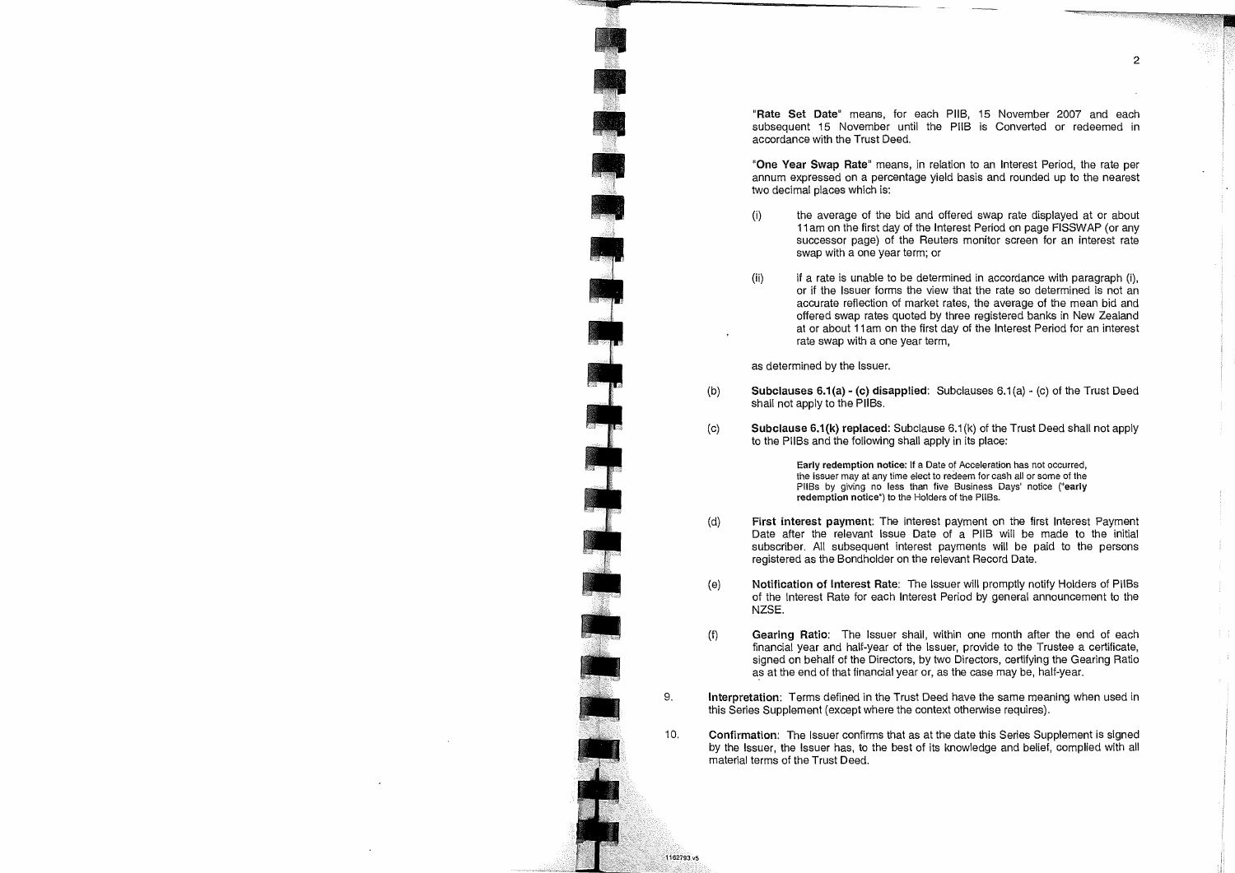"Rate Set Date" means, for each PUB, 15 November 2007 and each subsequent 15 November until the PIIB is Converted or redeemed in accordance with the Trust Deed.

**"One Year Swap Rate"** means, in relation to an interest Period, the rate per annum expressed on a percentage yield basis and rounded up to the nearest two decimal places which is:

- (I) the average of the bid and offered swap rate displayed at or about **11 am** on the first day of the Interest Period on page FISSWAP (or any successor page) of the Reuters monitor screen for an interest rate swap with a one year term; or
- (ii) if a rate is unable to be determined in accordance with paragraph (i), or if the Issuer forms the view that the rate so determined is not an accurate reflection of market rates, the average of the mean bid and offered swap rates quoted by three registered banks in New Zealand at or about 11 am on the first day of the Interest Period for an interest rate swap with a one year term,

as determined by the Issuer.

1162703.45

- (b) **Subclauses 6.1(a) (c) disapplied:** Subclauses 6.1(a) (c) of the Trust Deed shall not apply to the PliBs.
- $(c)$ **Subclause 6.1(k) replaced:** Subclause 6.1(k) of the Trust Deed shall not apply to the PilBs and the following shall apply in its place:

**early redemption notice: If a Date** of Acceleration has not occurred, the Issuer may at any time elect to redeem for cash all or some of the PlIBs by giving no less than five Business Days' notice **("early redemption notice") to** the Holders of the PliBs.

- **(d) First interest payment:** The interest payment on the first Interest Payment Date after the relevant Issue Date of a PIIB will be made to the initial subscriber. All subsequent interest payments will be paid to the persons registered as the Bondholder on the relevant Record Date.
- **(e) Notification of Interest Rate:** The Issuer will promptly notify Holders of PlIBs of the Interest Rate for each Interest Period by general announcement to the NZSE.
- $(f)$ **Gearing Ratio:** The Issuer shall, within one month after the end of each financial year and half-year of the Issuer, provide to the Trustee a certificate, signed on behalf of the Directors, by two Directors, certifying the Gearing Ratio as at the end of that financial year or, as the case may be, half-year.
- **9. Interpretation:** Terms defined in the Trust Deed have the same meaning when used in this Series Supplement (except where the context otherwise requires).
- **10. Confirmation:** The Issuer confirms that as at the date this Series Supplement is signed by the Issuer, the Issuer has, to the best of its knowledge and belief, complied with all material terms of the Trust Deed.

 $\overline{2}$